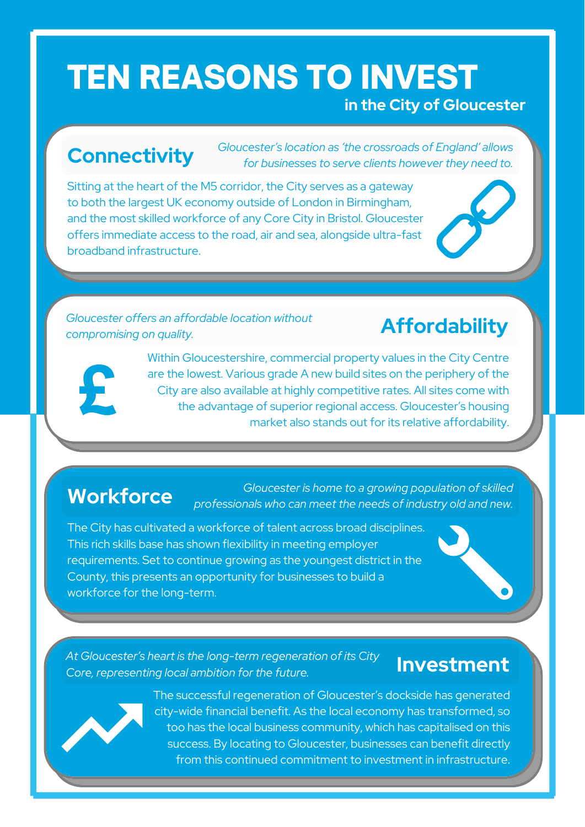# TEN REASONS TO INVEST

#### **in the City of Gloucester**

## **Connectivity**

*Gloucester's location as 'the crossroads of England' allows for businesses to serve clients however they need to.*

Sitting at the heart of the M5 corridor, the City serves as a gateway to both the largest UK economy outside of London in Birmingham, and the most skilled workforce of any Core City in Bristol. Gloucester offers immediate access to the road, air and sea, alongside ultra-fast broadband infrastructure.

#### *Gloucester offers an affordable location without compromising on quality.*

# **Affordability**



Within Gloucestershire, commercial property values in the City Centre are the lowest. Various grade A new build sites on the periphery of the City are also available at highly competitive rates. All sites come with the advantage of superior regional access. Gloucester's housing market also stands out for its relative affordability.

## **Workforce**

*Gloucester is home to a growing population of skilled professionals who can meet the needs of industry old and new.*

The City has cultivated a workforce of talent across broad disciplines. This rich skills base has shown flexibility in meeting employer requirements. Set to continue growing as the youngest district in the County, this presents an opportunity for businesses to build a workforce for the long-term.

*At Gloucester's heart is the long-term regeneration of its City Core, representing local ambition for the future.*

## **Investment**



The successful regeneration of Gloucester's dockside has generated city-wide financial benefit. As the local economy has transformed, so too has the local business community, which has capitalised on this success. By locating to Gloucester, businesses can benefit directly from this continued commitment to investment in infrastructure.